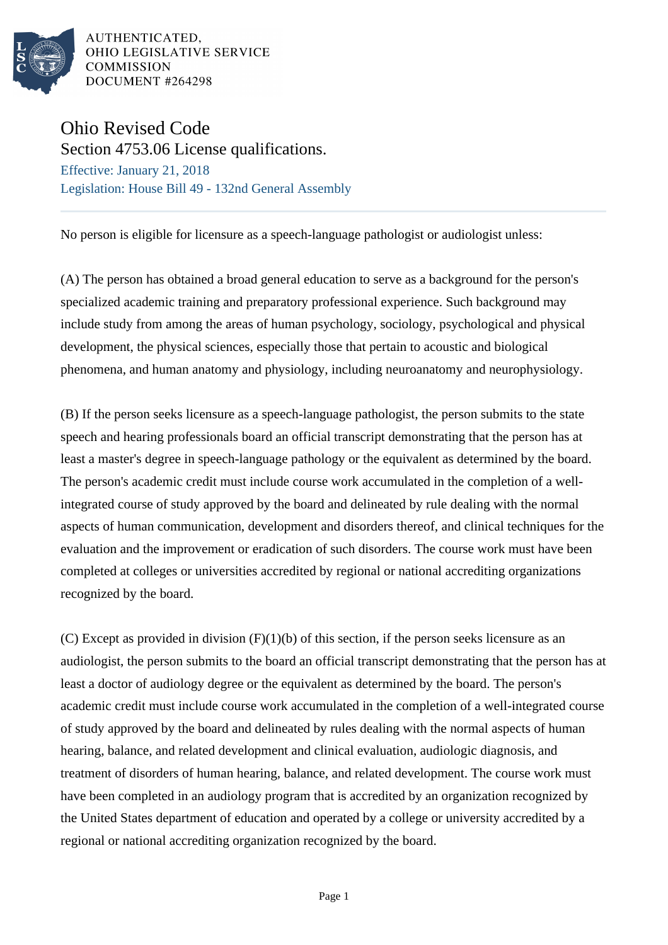

AUTHENTICATED, OHIO LEGISLATIVE SERVICE **COMMISSION** DOCUMENT #264298

## Ohio Revised Code

Section 4753.06 License qualifications. Effective: January 21, 2018 Legislation: House Bill 49 - 132nd General Assembly

No person is eligible for licensure as a speech-language pathologist or audiologist unless:

(A) The person has obtained a broad general education to serve as a background for the person's specialized academic training and preparatory professional experience. Such background may include study from among the areas of human psychology, sociology, psychological and physical development, the physical sciences, especially those that pertain to acoustic and biological phenomena, and human anatomy and physiology, including neuroanatomy and neurophysiology.

(B) If the person seeks licensure as a speech-language pathologist, the person submits to the state speech and hearing professionals board an official transcript demonstrating that the person has at least a master's degree in speech-language pathology or the equivalent as determined by the board. The person's academic credit must include course work accumulated in the completion of a wellintegrated course of study approved by the board and delineated by rule dealing with the normal aspects of human communication, development and disorders thereof, and clinical techniques for the evaluation and the improvement or eradication of such disorders. The course work must have been completed at colleges or universities accredited by regional or national accrediting organizations recognized by the board.

(C) Except as provided in division  $(F)(1)(b)$  of this section, if the person seeks licensure as an audiologist, the person submits to the board an official transcript demonstrating that the person has at least a doctor of audiology degree or the equivalent as determined by the board. The person's academic credit must include course work accumulated in the completion of a well-integrated course of study approved by the board and delineated by rules dealing with the normal aspects of human hearing, balance, and related development and clinical evaluation, audiologic diagnosis, and treatment of disorders of human hearing, balance, and related development. The course work must have been completed in an audiology program that is accredited by an organization recognized by the United States department of education and operated by a college or university accredited by a regional or national accrediting organization recognized by the board.